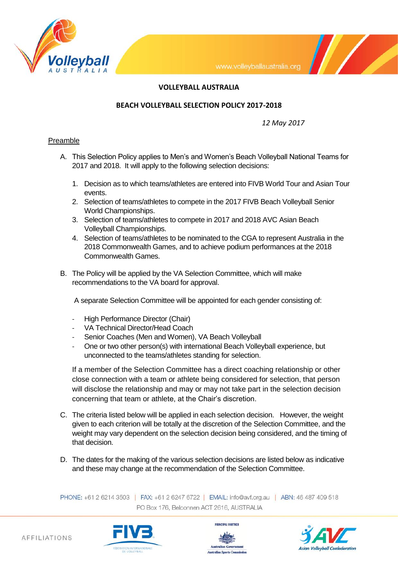

## **VOLLEYBALL AUSTRALIA**

### **BEACH VOLLEYBALL SELECTION POLICY 2017-2018**

*12 May 2017*

 $\mathcal{U}$ 

### **Preamble**

- A. This Selection Policy applies to Men's and Women's Beach Volleyball National Teams for 2017 and 2018. It will apply to the following selection decisions:
	- 1. Decision as to which teams/athletes are entered into FIVB World Tour and Asian Tour events.
	- 2. Selection of teams/athletes to compete in the 2017 FIVB Beach Volleyball Senior World Championships.
	- 3. Selection of teams/athletes to compete in 2017 and 2018 AVC Asian Beach Volleyball Championships.
	- 4. Selection of teams/athletes to be nominated to the CGA to represent Australia in the 2018 Commonwealth Games, and to achieve podium performances at the 2018 Commonwealth Games.
- B. The Policy will be applied by the VA Selection Committee, which will make recommendations to the VA board for approval.

A separate Selection Committee will be appointed for each gender consisting of:

- High Performance Director (Chair)
- VA Technical Director/Head Coach
- Senior Coaches (Men and Women), VA Beach Volleyball
- One or two other person(s) with international Beach Volleyball experience, but unconnected to the teams/athletes standing for selection.

If a member of the Selection Committee has a direct coaching relationship or other close connection with a team or athlete being considered for selection, that person will disclose the relationship and may or may not take part in the selection decision concerning that team or athlete, at the Chair's discretion.

- C. The criteria listed below will be applied in each selection decision. However, the weight given to each criterion will be totally at the discretion of the Selection Committee, and the weight may vary dependent on the selection decision being considered, and the timing of that decision.
- D. The dates for the making of the various selection decisions are listed below as indicative and these may change at the recommendation of the Selection Committee.

PHONE: +61 2 6214 3503 | FAX: +61 2 6247 6722 | EMAIL: info@avf.org.au | ABN: 46 487 409 518 PO Box 176, Belconnen ACT 2616, AUSTRALIA





PRINCIPAL PARTNER

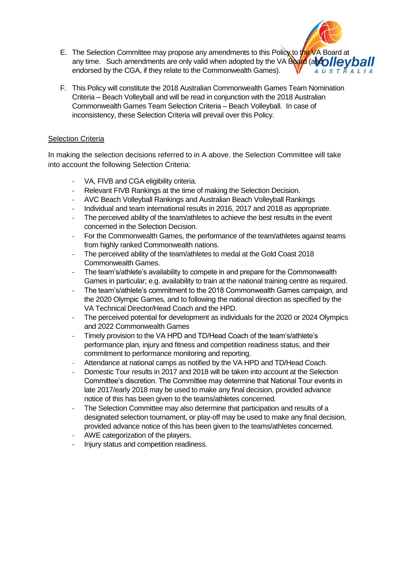- E. The Selection Committee may propose any amendments to this Policy to the VA Board at any time. Such amendments are only valid when adopted by the VA Board (and  $\overline{OII}$   $\overline{OII}$ endorsed by the CGA, if they relate to the Commonwealth Games). AUSTRALIA
- F. This Policy will constitute the 2018 Australian Commonwealth Games Team Nomination Criteria – Beach Volleyball and will be read in conjunction with the 2018 Australian Commonwealth Games Team Selection Criteria – Beach Volleyball. In case of inconsistency, these Selection Criteria will prevail over this Policy.

# Selection Criteria

In making the selection decisions referred to in A above, the Selection Committee will take into account the following Selection Criteria:

- VA, FIVB and CGA eligibility criteria.
- Relevant FIVB Rankings at the time of making the Selection Decision.
- AVC Beach Volleyball Rankings and Australian Beach Volleyball Rankings
- Individual and team international results in 2016, 2017 and 2018 as appropriate.
- The perceived ability of the team/athletes to achieve the best results in the event concerned in the Selection Decision.
- For the Commonwealth Games, the performance of the team/athletes against teams from highly ranked Commonwealth nations.
- The perceived ability of the team/athletes to medal at the Gold Coast 2018 Commonwealth Games.
- The team's/athlete's availability to compete in and prepare for the Commonwealth Games in particular; e.g. availability to train at the national training centre as required.
- The team's/athlete's commitment to the 2018 Commonwealth Games campaign, and the 2020 Olympic Games, and to following the national direction as specified by the VA Technical Director/Head Coach and the HPD.
- The perceived potential for development as individuals for the 2020 or 2024 Olympics and 2022 Commonwealth Games
- Timely provision to the VA HPD and TD/Head Coach of the team's/athlete's performance plan, injury and fitness and competition readiness status, and their commitment to performance monitoring and reporting.
- Attendance at national camps as notified by the VA HPD and TD/Head Coach.
- Domestic Tour results in 2017 and 2018 will be taken into account at the Selection Committee's discretion. The Committee may determine that National Tour events in late 2017/early 2018 may be used to make any final decision, provided advance notice of this has been given to the teams/athletes concerned.
- The Selection Committee may also determine that participation and results of a designated selection tournament, or play-off may be used to make any final decision, provided advance notice of this has been given to the teams/athletes concerned.
- AWE categorization of the players.
- Injury status and competition readiness.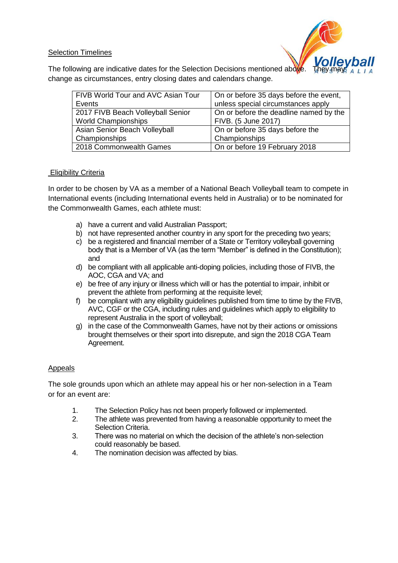## Selection Timelines



The following are indicative dates for the Selection Decisions mentioned above. change as circumstances, entry closing dates and calendars change.

| FIVB World Tour and AVC Asian Tour | On or before 35 days before the event, |
|------------------------------------|----------------------------------------|
| Events                             | unless special circumstances apply     |
| 2017 FIVB Beach Volleyball Senior  | On or before the deadline named by the |
| <b>World Championships</b>         | FIVB. (5 June 2017)                    |
| Asian Senior Beach Volleyball      | On or before 35 days before the        |
| Championships                      | Championships                          |
| 2018 Commonwealth Games            | On or before 19 February 2018          |

## Eligibility Criteria

In order to be chosen by VA as a member of a National Beach Volleyball team to compete in International events (including International events held in Australia) or to be nominated for the Commonwealth Games, each athlete must:

- a) have a current and valid Australian Passport;
- b) not have represented another country in any sport for the preceding two years;
- c) be a registered and financial member of a State or Territory volleyball governing body that is a Member of VA (as the term "Member" is defined in the Constitution); and
- d) be compliant with all applicable anti-doping policies, including those of FIVB, the AOC, CGA and VA; and
- e) be free of any injury or illness which will or has the potential to impair, inhibit or prevent the athlete from performing at the requisite level;
- f) be compliant with any eligibility guidelines published from time to time by the FIVB, AVC, CGF or the CGA, including rules and guidelines which apply to eligibility to represent Australia in the sport of volleyball;
- g) in the case of the Commonwealth Games, have not by their actions or omissions brought themselves or their sport into disrepute, and sign the 2018 CGA Team Agreement.

## Appeals

The sole grounds upon which an athlete may appeal his or her non-selection in a Team or for an event are:

- 1. The Selection Policy has not been properly followed or implemented.
- 2. The athlete was prevented from having a reasonable opportunity to meet the Selection Criteria.
- 3. There was no material on which the decision of the athlete's non-selection could reasonably be based.
- 4. The nomination decision was affected by bias.